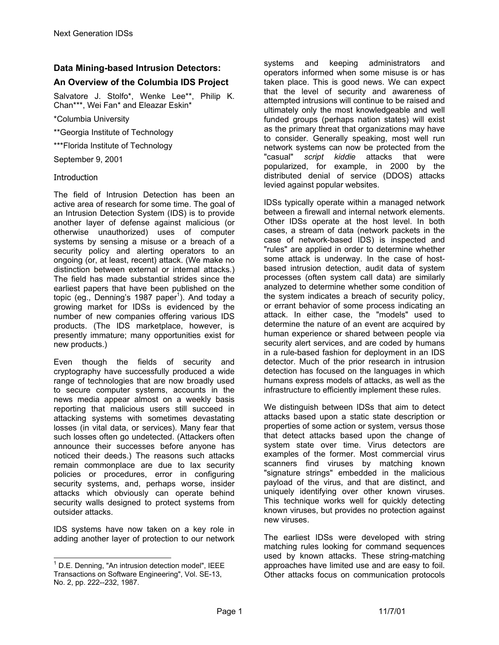# **Data Mining-based Intrusion Detectors:**

### **An Overview of the Columbia IDS Project**

Salvatore J. Stolfo\*, Wenke Lee\*\*, Philip K. Chan\*\*\*, Wei Fan\* and Eleazar Eskin\*

\*Columbia University

\*\*Georgia Institute of Technology

\*\*\*Florida Institute of Technology

September 9, 2001

### **Introduction**

The field of Intrusion Detection has been an active area of research for some time. The goal of an Intrusion Detection System (IDS) is to provide another layer of defense against malicious (or otherwise unauthorized) uses of computer systems by sensing a misuse or a breach of a security policy and alerting operators to an ongoing (or, at least, recent) attack. (We make no distinction between external or internal attacks.) The field has made substantial strides since the earliest papers that have been published on the topic (eg., Denning's 1987 paper<sup>1</sup>). And today a growing market for IDSs is evidenced by the number of new companies offering various IDS products. (The IDS marketplace, however, is presently immature; many opportunities exist for new products.)

Even though the fields of security and cryptography have successfully produced a wide range of technologies that are now broadly used to secure computer systems, accounts in the news media appear almost on a weekly basis reporting that malicious users still succeed in attacking systems with sometimes devastating losses (in vital data, or services). Many fear that such losses often go undetected. (Attackers often announce their successes before anyone has noticed their deeds.) The reasons such attacks remain commonplace are due to lax security policies or procedures, error in configuring security systems, and, perhaps worse, insider attacks which obviously can operate behind security walls designed to protect systems from outsider attacks.

IDS systems have now taken on a key role in adding another layer of protection to our network systems and keeping administrators and operators informed when some misuse is or has taken place. This is good news. We can expect that the level of security and awareness of attempted intrusions will continue to be raised and ultimately only the most knowledgeable and well funded groups (perhaps nation states) will exist as the primary threat that organizations may have to consider. Generally speaking, most well run network systems can now be protected from the "casual" *script kiddie* attacks that were popularized, for example, in 2000 by the distributed denial of service (DDOS) attacks levied against popular websites.

IDSs typically operate within a managed network between a firewall and internal network elements. Other IDSs operate at the host level. In both cases, a stream of data (network packets in the case of network-based IDS) is inspected and "rules" are applied in order to determine whether some attack is underway. In the case of hostbased intrusion detection, audit data of system processes (often system call data) are similarly analyzed to determine whether some condition of the system indicates a breach of security policy, or errant behavior of some process indicating an attack. In either case, the "models" used to determine the nature of an event are acquired by human experience or shared between people via security alert services, and are coded by humans in a rule-based fashion for deployment in an IDS detector. Much of the prior research in intrusion detection has focused on the languages in which humans express models of attacks, as well as the infrastructure to efficiently implement these rules.

We distinguish between IDSs that aim to detect attacks based upon a static state description or properties of some action or system, versus those that detect attacks based upon the change of system state over time. Virus detectors are examples of the former. Most commercial virus scanners find viruses by matching known "signature strings" embedded in the malicious payload of the virus, and that are distinct, and uniquely identifying over other known viruses. This technique works well for quickly detecting known viruses, but provides no protection against new viruses.

The earliest IDSs were developed with string matching rules looking for command sequences used by known attacks. These string-matching approaches have limited use and are easy to foil. Other attacks focus on communication protocols

<span id="page-0-0"></span><sup>1</sup>  $1$  D.E. Denning, "An intrusion detection model", IEEE Transactions on Software Engineering", Vol. SE-13, No. 2, pp. 222--232, 1987.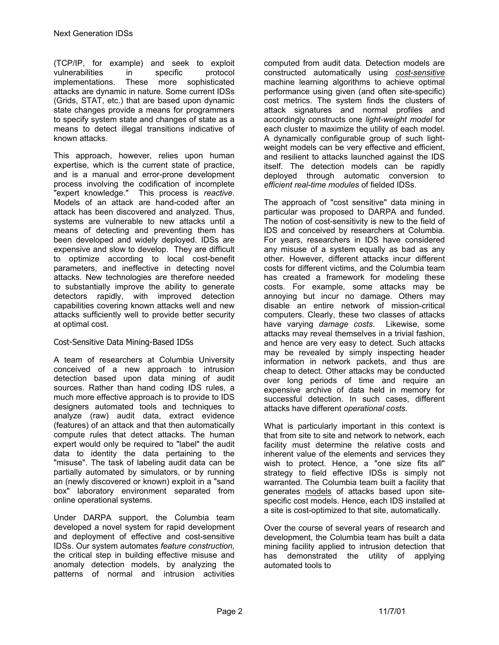(TCP/IP, for example) and seek to exploit vulnerabilities in specific protocol implementations. These more sophisticated attacks are dynamic in nature. Some current IDSs (Grids, STAT, etc.) that are based upon dynamic state changes provide a means for programmers to specify system state and changes of state as a means to detect illegal transitions indicative of known attacks.

This approach, however, relies upon human expertise, which is the current state of practice, and is a manual and error-prone development process involving the codification of incomplete "expert knowledge." This process is *reactive*. Models of an attack are hand-coded after an attack has been discovered and analyzed. Thus, systems are vulnerable to new attacks until a means of detecting and preventing them has been developed and widely deployed. IDSs are expensive and slow to develop. They are difficult to optimize according to local cost-benefit parameters, and ineffective in detecting novel attacks. New technologies are therefore needed to substantially improve the ability to generate detectors rapidly, with improved detection capabilities covering known attacks well and new attacks sufficiently well to provide better security at optimal cost.

# Cost-Sensitive Data Mining-Based IDSs

A team of researchers at Columbia University conceived of a new approach to intrusion detection based upon data mining of audit sources. Rather than hand coding IDS rules, a much more effective approach is to provide to IDS designers automated tools and techniques to analyze (raw) audit data, extract evidence (features) of an attack and that then automatically compute rules that detect attacks. The human expert would only be required to "label" the audit data to identity the data pertaining to the "misuse". The task of labeling audit data can be partially automated by simulators, or by running an (newly discovered or known) exploit in a "sand box" laboratory environment separated from online operational systems.

Under DARPA support, the Columbia team developed a novel system for rapid development and deployment of effective and cost-sensitive IDSs. Our system automates *feature construction,* the critical step in building effective misuse and anomaly detection models, by analyzing the patterns of normal and intrusion activities

computed from audit data. Detection models are constructed automatically using *cost-sensitive* machine learning algorithms to achieve optimal performance using given (and often site-specific) cost metrics. The system finds the clusters of attack signatures and normal profiles and accordingly constructs one *light-weight model* for each cluster to maximize the utility of each model. A dynamically configurable group of such lightweight models can be very effective and efficient, and resilient to attacks launched against the IDS itself. The detection models can be rapidly deployed through automatic conversion to *efficient real-time modules* of fielded IDSs.

The approach of "cost sensitive" data mining in particular was proposed to DARPA and funded. The notion of cost-sensitivity is new to the field of IDS and conceived by researchers at Columbia. For years, researchers in IDS have considered any misuse of a system equally as bad as any other. However, different attacks incur different costs for different victims, and the Columbia team has created a framework for modeling these costs. For example, some attacks may be annoying but incur no damage. Others may disable an entire network of mission-critical computers. Clearly, these two classes of attacks have varying *damage costs*. Likewise, some attacks may reveal themselves in a trivial fashion, and hence are very easy to detect. Such attacks may be revealed by simply inspecting header information in network packets, and thus are cheap to detect. Other attacks may be conducted over long periods of time and require an expensive archive of data held in memory for successful detection. In such cases, different attacks have different *operational costs.*

What is particularly important in this context is that from site to site and network to network, each facility must determine the relative costs and inherent value of the elements and services they wish to protect. Hence, a "one size fits all" strategy to field effective IDSs is simply not warranted. The Columbia team built a facility that generates models of attacks based upon sitespecific cost models. Hence, each IDS installed at a site is cost-optimized to that site, automatically.

Over the course of several years of research and development, the Columbia team has built a data mining facility applied to intrusion detection that has demonstrated the utility of applying automated tools to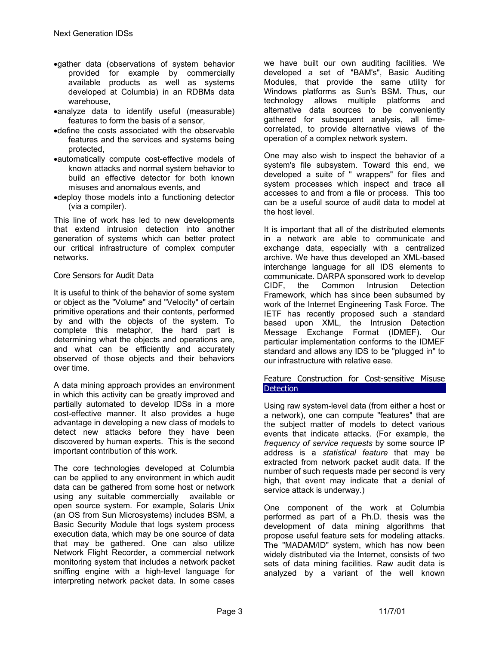- •gather data (observations of system behavior provided for example by commercially available products as well as systems developed at Columbia) in an RDBMs data warehouse,
- •analyze data to identify useful (measurable) features to form the basis of a sensor,
- •define the costs associated with the observable features and the services and systems being protected,
- •automatically compute cost-effective models of known attacks and normal system behavior to build an effective detector for both known misuses and anomalous events, and
- •deploy those models into a functioning detector (via a compiler).

This line of work has led to new developments that extend intrusion detection into another generation of systems which can better protect our critical infrastructure of complex computer networks.

### Core Sensors for Audit Data

It is useful to think of the behavior of some system or object as the "Volume" and "Velocity" of certain primitive operations and their contents, performed by and with the objects of the system. To complete this metaphor, the hard part is determining what the objects and operations are, and what can be efficiently and accurately observed of those objects and their behaviors over time.

A data mining approach provides an environment in which this activity can be greatly improved and partially automated to develop IDSs in a more cost-effective manner. It also provides a huge advantage in developing a new class of models to detect new attacks before they have been discovered by human experts. This is the second important contribution of this work.

The core technologies developed at Columbia can be applied to any environment in which audit data can be gathered from some host or network using any suitable commercially available or open source system. For example, Solaris Unix (an OS from Sun Microsystems) includes BSM, a Basic Security Module that logs system process execution data, which may be one source of data that may be gathered. One can also utilize Network Flight Recorder, a commercial network monitoring system that includes a network packet sniffing engine with a high-level language for interpreting network packet data. In some cases

we have built our own auditing facilities. We developed a set of "BAM's", Basic Auditing Modules, that provide the same utility for Windows platforms as Sun's BSM. Thus, our technology allows multiple platforms and alternative data sources to be conveniently gathered for subsequent analysis, all timecorrelated, to provide alternative views of the operation of a complex network system.

One may also wish to inspect the behavior of a system's file subsystem. Toward this end, we developed a suite of " wrappers" for files and system processes which inspect and trace all accesses to and from a file or process. This too can be a useful source of audit data to model at the host level.

It is important that all of the distributed elements in a network are able to communicate and exchange data, especially with a centralized archive. We have thus developed an XML-based interchange language for all IDS elements to communicate. DARPA sponsored work to develop CIDF, the Common Intrusion Detection Framework, which has since been subsumed by work of the Internet Engineering Task Force. The IETF has recently proposed such a standard based upon XML, the Intrusion Detection Message Exchange Format (IDMEF). Our particular implementation conforms to the IDMEF standard and allows any IDS to be "plugged in" to our infrastructure with relative ease.

#### Feature Construction for Cost-sensitive Misuse **Detection**

Using raw system-level data (from either a host or a network), one can compute "features" that are the subject matter of models to detect various events that indicate attacks. (For example, the *frequency of service requests* by some source IP address is a *statistical feature* that may be extracted from network packet audit data. If the number of such requests made per second is very high, that event may indicate that a denial of service attack is underway.)

One component of the work at Columbia performed as part of a Ph.D. thesis was the development of data mining algorithms that propose useful feature sets for modeling attacks. The "MADAM/ID" system, which has now been widely distributed via the Internet, consists of two sets of data mining facilities. Raw audit data is analyzed by a variant of the well known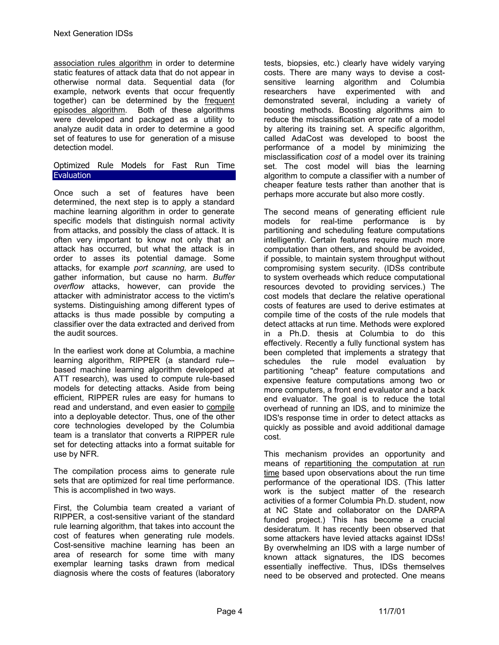association rules algorithm in order to determine static features of attack data that do not appear in otherwise normal data. Sequential data (for example, network events that occur frequently together) can be determined by the frequent episodes algorithm. Both of these algorithms were developed and packaged as a utility to analyze audit data in order to determine a good set of features to use for generation of a misuse detection model.

### Optimized Rule Models for Fast Run Time **Evaluation**

Once such a set of features have been determined, the next step is to apply a standard machine learning algorithm in order to generate specific models that distinguish normal activity from attacks, and possibly the class of attack. It is often very important to know not only that an attack has occurred, but what the attack is in order to asses its potential damage. Some attacks, for example *port scanning,* are used to gather information, but cause no harm. *Buffer overflow* attacks, however, can provide the attacker with administrator access to the victim's systems. Distinguishing among different types of attacks is thus made possible by computing a classifier over the data extracted and derived from the audit sources.

In the earliest work done at Columbia, a machine learning algorithm, RIPPER (a standard rule- based machine learning algorithm developed at ATT research), was used to compute rule-based models for detecting attacks. Aside from being efficient, RIPPER rules are easy for humans to read and understand, and even easier to compile into a deployable detector. Thus, one of the other core technologies developed by the Columbia team is a translator that converts a RIPPER rule set for detecting attacks into a format suitable for use by NFR.

The compilation process aims to generate rule sets that are optimized for real time performance. This is accomplished in two ways.

First, the Columbia team created a variant of RIPPER, a cost-sensitive variant of the standard rule learning algorithm, that takes into account the cost of features when generating rule models. Cost-sensitive machine learning has been an area of research for some time with many exemplar learning tasks drawn from medical diagnosis where the costs of features (laboratory

tests, biopsies, etc.) clearly have widely varying costs. There are many ways to devise a costsensitive learning algorithm and Columbia researchers have experimented with and demonstrated several, including a variety of boosting methods. Boosting algorithms aim to reduce the misclassification error rate of a model by altering its training set. A specific algorithm, called AdaCost was developed to boost the performance of a model by minimizing the misclassification *cost* of a model over its training set. The cost model will bias the learning algorithm to compute a classifier with a number of cheaper feature tests rather than another that is perhaps more accurate but also more costly.

The second means of generating efficient rule models for real-time performance is by partitioning and scheduling feature computations intelligently. Certain features require much more computation than others, and should be avoided, if possible, to maintain system throughput without compromising system security. (IDSs contribute to system overheads which reduce computational resources devoted to providing services.) The cost models that declare the relative operational costs of features are used to derive estimates at compile time of the costs of the rule models that detect attacks at run time. Methods were explored in a Ph.D. thesis at Columbia to do this effectively. Recently a fully functional system has been completed that implements a strategy that schedules the rule model evaluation by partitioning "cheap" feature computations and expensive feature computations among two or more computers, a front end evaluator and a back end evaluator. The goal is to reduce the total overhead of running an IDS, and to minimize the IDS's response time in order to detect attacks as quickly as possible and avoid additional damage cost.

This mechanism provides an opportunity and means of repartitioning the computation at run time based upon observations about the run time performance of the operational IDS. (This latter work is the subject matter of the research activities of a former Columbia Ph.D. student, now at NC State and collaborator on the DARPA funded project.) This has become a crucial desideratum. It has recently been observed that some attackers have levied attacks against IDSs! By overwhelming an IDS with a large number of known attack signatures, the IDS becomes essentially ineffective. Thus, IDSs themselves need to be observed and protected. One means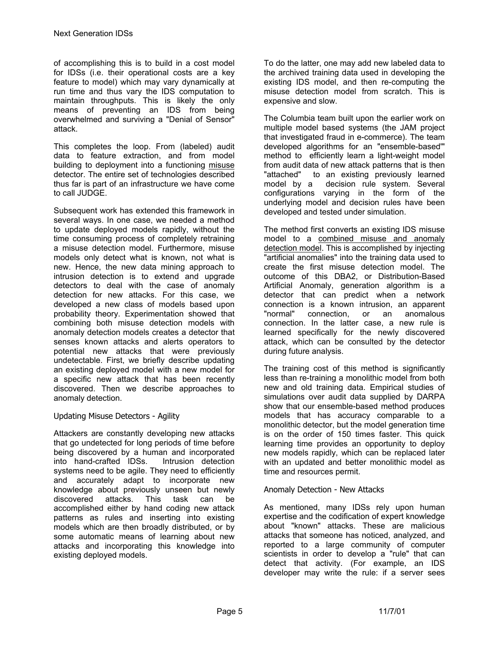of accomplishing this is to build in a cost model for IDSs (i.e. their operational costs are a key feature to model) which may vary dynamically at run time and thus vary the IDS computation to maintain throughputs. This is likely the only means of preventing an IDS from being overwhelmed and surviving a "Denial of Sensor" attack.

This completes the loop. From (labeled) audit data to feature extraction, and from model building to deployment into a functioning misuse detector. The entire set of technologies described thus far is part of an infrastructure we have come to call JUDGE.

Subsequent work has extended this framework in several ways. In one case, we needed a method to update deployed models rapidly, without the time consuming process of completely retraining a misuse detection model. Furthermore, misuse models only detect what is known, not what is new. Hence, the new data mining approach to intrusion detection is to extend and upgrade detectors to deal with the case of anomaly detection for new attacks. For this case, we developed a new class of models based upon probability theory. Experimentation showed that combining both misuse detection models with anomaly detection models creates a detector that senses known attacks and alerts operators to potential new attacks that were previously undetectable. First, we briefly describe updating an existing deployed model with a new model for a specific new attack that has been recently discovered. Then we describe approaches to anomaly detection.

Updating Misuse Detectors - Agility

Attackers are constantly developing new attacks that go undetected for long periods of time before being discovered by a human and incorporated into hand-crafted IDSs. Intrusion detection systems need to be agile. They need to efficiently and accurately adapt to incorporate new knowledge about previously unseen but newly discovered attacks. This task can be accomplished either by hand coding new attack patterns as rules and inserting into existing models which are then broadly distributed, or by some automatic means of learning about new attacks and incorporating this knowledge into existing deployed models.

To do the latter, one may add new labeled data to the archived training data used in developing the existing IDS model, and then re-computing the misuse detection model from scratch. This is expensive and slow.

The Columbia team built upon the earlier work on multiple model based systems (the JAM project that investigated fraud in e-commerce). The team developed algorithms for an "ensemble-based'" method to efficiently learn a light-weight model from audit data of new attack patterns that is then "attached" to an existing previously learned model by a decision rule system. Several configurations varying in the form of the underlying model and decision rules have been developed and tested under simulation.

The method first converts an existing IDS misuse model to a combined misuse and anomaly detection model. This is accomplished by injecting "artificial anomalies" into the training data used to create the first misuse detection model. The outcome of this DBA2, or Distribution-Based Artificial Anomaly, generation algorithm is a detector that can predict when a network connection is a known intrusion, an apparent "normal" connection, or an anomalous connection. In the latter case, a new rule is learned specifically for the newly discovered attack, which can be consulted by the detector during future analysis.

The training cost of this method is significantly less than re-training a monolithic model from both new and old training data. Empirical studies of simulations over audit data supplied by DARPA show that our ensemble-based method produces models that has accuracy comparable to a monolithic detector, but the model generation time is on the order of 150 times faster. This quick learning time provides an opportunity to deploy new models rapidly, which can be replaced later with an updated and better monolithic model as time and resources permit.

# Anomaly Detection - New Attacks

As mentioned, many IDSs rely upon human expertise and the codification of expert knowledge about "known" attacks. These are malicious attacks that someone has noticed, analyzed, and reported to a large community of computer scientists in order to develop a "rule" that can detect that activity. (For example, an IDS developer may write the rule: if a server sees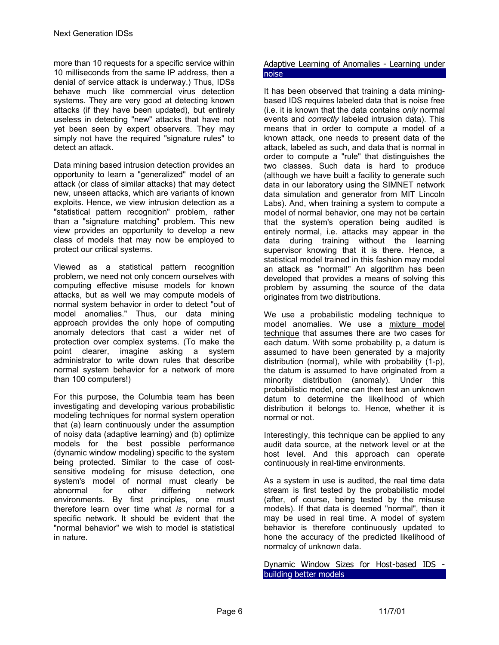more than 10 requests for a specific service within 10 milliseconds from the same IP address, then a denial of service attack is underway.) Thus, IDSs behave much like commercial virus detection systems. They are very good at detecting known attacks (if they have been updated), but entirely useless in detecting "new" attacks that have not yet been seen by expert observers. They may simply not have the required "signature rules" to detect an attack.

Data mining based intrusion detection provides an opportunity to learn a "generalized" model of an attack (or class of similar attacks) that may detect new, unseen attacks, which are variants of known exploits. Hence, we view intrusion detection as a "statistical pattern recognition" problem, rather than a "signature matching" problem. This new view provides an opportunity to develop a new class of models that may now be employed to protect our critical systems.

Viewed as a statistical pattern recognition problem, we need not only concern ourselves with computing effective misuse models for known attacks, but as well we may compute models of normal system behavior in order to detect "out of model anomalies." Thus, our data mining approach provides the only hope of computing anomaly detectors that cast a wider net of protection over complex systems. (To make the point clearer, imagine asking a system administrator to write down rules that describe normal system behavior for a network of more than 100 computers!)

For this purpose, the Columbia team has been investigating and developing various probabilistic modeling techniques for normal system operation that (a) learn continuously under the assumption of noisy data (adaptive learning) and (b) optimize models for the best possible performance (dynamic window modeling) specific to the system being protected. Similar to the case of costsensitive modeling for misuse detection, one system's model of normal must clearly be abnormal for other differing network environments. By first principles, one must therefore learn over time what *is* normal for a specific network. It should be evident that the "normal behavior" we wish to model is statistical in nature.

### Adaptive Learning of Anomalies - Learning under noise

It has been observed that training a data miningbased IDS requires labeled data that is noise free (i.e. it is known that the data contains *only* normal events and *correctly* labeled intrusion data). This means that in order to compute a model of a known attack, one needs to present data of the attack, labeled as such, and data that is normal in order to compute a "rule" that distinguishes the two classes. Such data is hard to produce (although we have built a facility to generate such data in our laboratory using the SIMNET network data simulation and generator from MIT Lincoln Labs). And, when training a system to compute a model of normal behavior, one may not be certain that the system's operation being audited is entirely normal, i.e. attacks may appear in the data during training without the learning supervisor knowing that it is there. Hence, a statistical model trained in this fashion may model an attack as "normal!" An algorithm has been developed that provides a means of solving this problem by assuming the source of the data originates from two distributions.

We use a probabilistic modeling technique to model anomalies. We use a mixture model technique that assumes there are two cases for each datum. With some probability p, a datum is assumed to have been generated by a majority distribution (normal), while with probability (1-p), the datum is assumed to have originated from a minority distribution (anomaly). Under this probabilistic model, one can then test an unknown datum to determine the likelihood of which distribution it belongs to. Hence, whether it is normal or not.

Interestingly, this technique can be applied to any audit data source, at the network level or at the host level. And this approach can operate continuously in real-time environments.

As a system in use is audited, the real time data stream is first tested by the probabilistic model (after, of course, being tested by the misuse models). If that data is deemed "normal", then it may be used in real time. A model of system behavior is therefore continuously updated to hone the accuracy of the predicted likelihood of normalcy of unknown data.

Dynamic Window Sizes for Host-based IDS building better models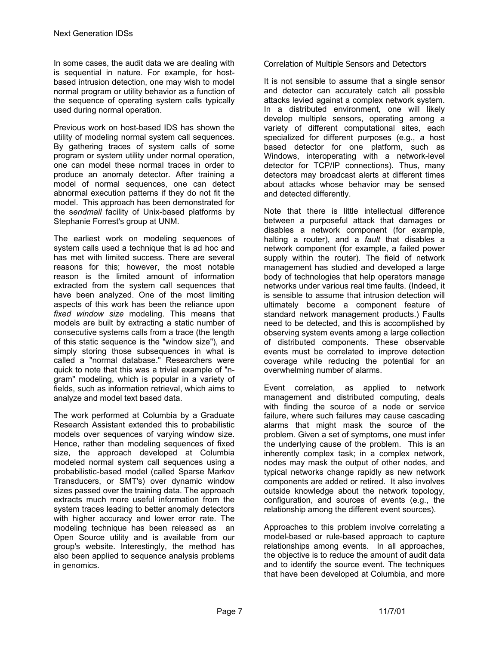In some cases, the audit data we are dealing with is sequential in nature. For example, for hostbased intrusion detection, one may wish to model normal program or utility behavior as a function of the sequence of operating system calls typically used during normal operation.

Previous work on host-based IDS has shown the utility of modeling normal system call sequences. By gathering traces of system calls of some program or system utility under normal operation, one can model these normal traces in order to produce an anomaly detector. After training a model of normal sequences, one can detect abnormal execution patterns if they do not fit the model. This approach has been demonstrated for the s*endmail* facility of Unix-based platforms by Stephanie Forrest's group at UNM.

The earliest work on modeling sequences of system calls used a technique that is ad hoc and has met with limited success. There are several reasons for this; however, the most notable reason is the limited amount of information extracted from the system call sequences that have been analyzed. One of the most limiting aspects of this work has been the reliance upon *fixed window size* modeling. This means that models are built by extracting a static number of consecutive systems calls from a trace (the length of this static sequence is the "window size"), and simply storing those subsequences in what is called a "normal database." Researchers were quick to note that this was a trivial example of "ngram" modeling, which is popular in a variety of fields, such as information retrieval, which aims to analyze and model text based data.

The work performed at Columbia by a Graduate Research Assistant extended this to probabilistic models over sequences of varying window size. Hence, rather than modeling sequences of fixed size, the approach developed at Columbia modeled normal system call sequences using a probabilistic-based model (called Sparse Markov Transducers, or SMT's) over dynamic window sizes passed over the training data. The approach extracts much more useful information from the system traces leading to better anomaly detectors with higher accuracy and lower error rate. The modeling technique has been released as an Open Source utility and is available from our group's website. Interestingly, the method has also been applied to sequence analysis problems in genomics.

Correlation of Multiple Sensors and Detectors

It is not sensible to assume that a single sensor and detector can accurately catch all possible attacks levied against a complex network system. In a distributed environment, one will likely develop multiple sensors, operating among a variety of different computational sites, each specialized for different purposes (e.g., a host based detector for one platform, such as Windows, interoperating with a network-level detector for TCP/IP connections). Thus, many detectors may broadcast alerts at different times about attacks whose behavior may be sensed and detected differently.

Note that there is little intellectual difference between a purposeful attack that damages or disables a network component (for example, halting a router), and a *fault* that disables a network component (for example, a failed power supply within the router). The field of network management has studied and developed a large body of technologies that help operators manage networks under various real time faults. (Indeed, it is sensible to assume that intrusion detection will ultimately become a component feature of standard network management products.) Faults need to be detected, and this is accomplished by observing system events among a large collection of distributed components. These observable events must be correlated to improve detection coverage while reducing the potential for an overwhelming number of alarms.

Event correlation, as applied to network management and distributed computing, deals with finding the source of a node or service failure, where such failures may cause cascading alarms that might mask the source of the problem. Given a set of symptoms, one must infer the underlying cause of the problem. This is an inherently complex task; in a complex network, nodes may mask the output of other nodes, and typical networks change rapidly as new network components are added or retired. It also involves outside knowledge about the network topology, configuration, and sources of events (e.g., the relationship among the different event sources).

Approaches to this problem involve correlating a model-based or rule-based approach to capture relationships among events. In all approaches, the objective is to reduce the amount of audit data and to identify the source event. The techniques that have been developed at Columbia, and more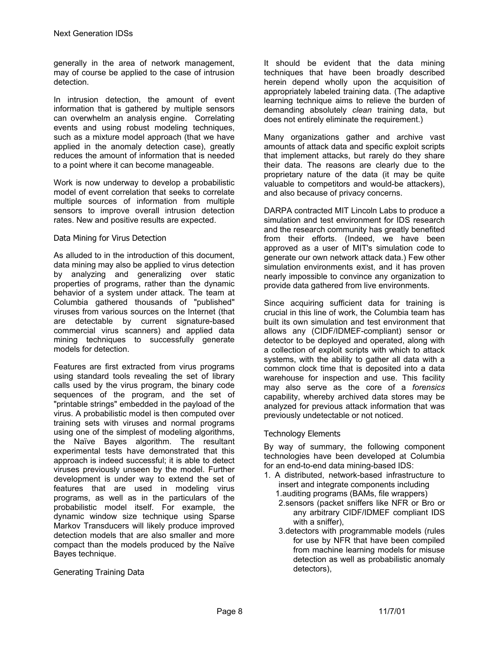generally in the area of network management, may of course be applied to the case of intrusion detection.

In intrusion detection, the amount of event information that is gathered by multiple sensors can overwhelm an analysis engine. Correlating events and using robust modeling techniques, such as a mixture model approach (that we have applied in the anomaly detection case), greatly reduces the amount of information that is needed to a point where it can become manageable.

Work is now underway to develop a probabilistic model of event correlation that seeks to correlate multiple sources of information from multiple sensors to improve overall intrusion detection rates. New and positive results are expected.

### Data Mining for Virus Detection

As alluded to in the introduction of this document, data mining may also be applied to virus detection by analyzing and generalizing over static properties of programs, rather than the dynamic behavior of a system under attack. The team at Columbia gathered thousands of "published" viruses from various sources on the Internet (that are detectable by current signature-based commercial virus scanners) and applied data mining techniques to successfully generate models for detection.

Features are first extracted from virus programs using standard tools revealing the set of library calls used by the virus program, the binary code sequences of the program, and the set of "printable strings" embedded in the payload of the virus. A probabilistic model is then computed over training sets with viruses and normal programs using one of the simplest of modeling algorithms, the Naïve Bayes algorithm. The resultant experimental tests have demonstrated that this approach is indeed successful; it is able to detect viruses previously unseen by the model. Further development is under way to extend the set of features that are used in modeling virus programs, as well as in the particulars of the probabilistic model itself. For example, the dynamic window size technique using Sparse Markov Transducers will likely produce improved detection models that are also smaller and more compact than the models produced by the Naïve Bayes technique.

It should be evident that the data mining techniques that have been broadly described herein depend wholly upon the acquisition of appropriately labeled training data. (The adaptive learning technique aims to relieve the burden of demanding absolutely *clean* training data, but does not entirely eliminate the requirement.)

Many organizations gather and archive vast amounts of attack data and specific exploit scripts that implement attacks, but rarely do they share their data. The reasons are clearly due to the proprietary nature of the data (it may be quite valuable to competitors and would-be attackers), and also because of privacy concerns.

DARPA contracted MIT Lincoln Labs to produce a simulation and test environment for IDS research and the research community has greatly benefited from their efforts. (Indeed, we have been approved as a user of MIT's simulation code to generate our own network attack data.) Few other simulation environments exist, and it has proven nearly impossible to convince any organization to provide data gathered from live environments.

Since acquiring sufficient data for training is crucial in this line of work, the Columbia team has built its own simulation and test environment that allows any (CIDF/IDMEF-compliant) sensor or detector to be deployed and operated, along with a collection of exploit scripts with which to attack systems, with the ability to gather all data with a common clock time that is deposited into a data warehouse for inspection and use. This facility may also serve as the core of a *forensics* capability, whereby archived data stores may be analyzed for previous attack information that was previously undetectable or not noticed.

### Technology Elements

By way of summary, the following component technologies have been developed at Columbia for an end-to-end data mining-based IDS:

- 1. A distributed, network-based infrastructure to insert and integrate components including 1.auditing programs (BAMs, file wrappers)
	- 2.sensors (packet sniffers like NFR or Bro or any arbitrary CIDF/IDMEF compliant IDS with a sniffer),
	- 3.detectors with programmable models (rules for use by NFR that have been compiled from machine learning models for misuse detection as well as probabilistic anomaly detectors),

Generating Training Data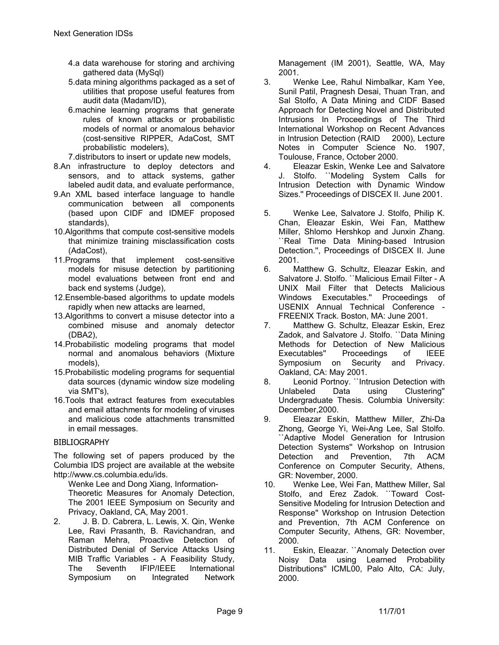- 4.a data warehouse for storing and archiving gathered data (MySql)
- 5.data mining algorithms packaged as a set of utilities that propose useful features from audit data (Madam/ID),
- 6.machine learning programs that generate rules of known attacks or probabilistic models of normal or anomalous behavior (cost-sensitive RIPPER, AdaCost, SMT probabilistic modelers),
- 7.distributors to insert or update new models,
- 8.An infrastructure to deploy detectors and sensors, and to attack systems, gather labeled audit data, and evaluate performance,
- 9.An XML based interface language to handle communication between all components (based upon CIDF and IDMEF proposed standards),
- 10.Algorithms that compute cost-sensitive models that minimize training misclassification costs (AdaCost),
- 11.Programs that implement cost-sensitive models for misuse detection by partitioning model evaluations between front end and back end systems (Judge),
- 12.Ensemble-based algorithms to update models rapidly when new attacks are learned,
- 13.Algorithms to convert a misuse detector into a combined misuse and anomaly detector (DBA2),
- 14.Probabilistic modeling programs that model normal and anomalous behaviors (Mixture models),
- 15.Probabilistic modeling programs for sequential data sources (dynamic window size modeling via SMT's),
- 16.Tools that extract features from executables and email attachments for modeling of viruses and malicious code attachments transmitted in email messages.

### BIBLIOGRAPHY

The following set of papers produced by the Columbia IDS project are available at the website http://www.cs.columbia.edu/ids.

[Wenke](http://www.cs.columbia.edu/ids) Lee and Dong Xiang, Information-Theoretic Measures for Anomaly Detection, The 2001 IEEE Symposium on Security and Privacy, Oakland, CA, May 2001.

2. J. B. D. Cabrera, L. Lewis, X. Qin, Wenke Lee, Ravi Prasanth, B. Ravichandran, and Raman Mehra, Proactive Detection of Distributed Denial of Service Attacks Using MIB Traffic Variables - A Feasibility Study, The Seventh IFIP/IEEE International Symposium on Integrated Network

Management (IM 2001), Seattle, WA, May 2001.

- 3. Wenke Lee, Rahul Nimbalkar, Kam Yee, Sunil Patil, Pragnesh Desai, Thuan Tran, and Sal Stolfo, A Data Mining and CIDF Based Approach for Detecting Novel and Distributed Intrusions In Proceedings of The Third International Workshop on Recent Advances in Intrusion Detection (RAID 2000), Lecture Notes in Computer Science No. 1907, Toulouse, France, October 2000.
- 4. Eleazar Eskin, Wenke Lee and Salvatore J. Stolfo. ``Modeling System Calls for Intrusion Detection with Dynamic Window Sizes.'' Proceedings of DISCEX II. June 2001.
- 5. Wenke Lee, Salvatore J. Stolfo, Philip K. Chan, Eleazar Eskin, Wei Fan, Matthew Miller, Shlomo Hershkop and Junxin Zhang. ``Real Time Data Mining-based Intrusion Detection.'', Proceedings of DISCEX II. June 2001.
- 6. Matthew G. Schultz, Eleazar Eskin, and Salvatore J. Stolfo. ``Malicious Email Filter - A UNIX Mail Filter that Detects Malicious Windows Executables.'' Proceedings of USENIX Annual Technical Conference - FREENIX Track. Boston, MA: June 2001.
- 7. Matthew G. Schultz, Eleazar Eskin, Erez Zadok, and Salvatore J. Stolfo. ``Data Mining Methods for Detection of New Malicious Executables'' Proceedings of IEEE Symposium on Security and Privacy. Oakland, CA: May 2001.
- 8. Leonid Portnoy. ``Intrusion Detection with Unlabeled Data using Clustering'' Undergraduate Thesis. Columbia University: December,2000.
- 9. Eleazar Eskin, Matthew Miller, Zhi-Da Zhong, George Yi, Wei-Ang Lee, Sal Stolfo. ``Adaptive Model Generation for Intrusion Detection Systems'' Workshop on Intrusion Detection and Prevention, 7th ACM Conference on Computer Security, Athens, GR: November, 2000.
- 10. Wenke Lee, Wei Fan, Matthew Miller, Sal Stolfo, and Erez Zadok. "Toward Cost-Sensitive Modeling for Intrusion Detection and Response'' Workshop on Intrusion Detection and Prevention, 7th ACM Conference on Computer Security, Athens, GR: November, 2000.
- 11. Eskin, Eleazar. ``Anomaly Detection over Noisy Data using Learned Probability Distributions'' ICML00, Palo Alto, CA: July, 2000.